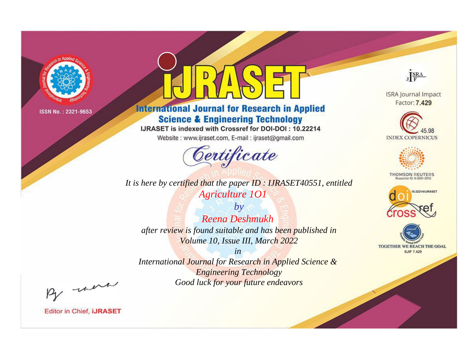

# **International Journal for Research in Applied Science & Engineering Technology**

IJRASET is indexed with Crossref for DOI-DOI: 10.22214

Website: www.ijraset.com, E-mail: ijraset@gmail.com



JERA

**ISRA Journal Impact** Factor: 7.429





**THOMSON REUTERS** 



TOGETHER WE REACH THE GOAL **SJIF 7.429** 

*It is here by certified that the paper ID : IJRASET40551, entitled Agriculture 1O1*

*by Reena Deshmukh after review is found suitable and has been published in Volume 10, Issue III, March 2022*

*in* 

*International Journal for Research in Applied Science & Engineering Technology Good luck for your future endeavors*

By morn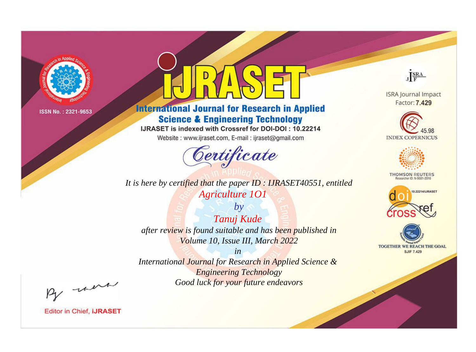

# **International Journal for Research in Applied Science & Engineering Technology**

IJRASET is indexed with Crossref for DOI-DOI: 10.22214

Website: www.ijraset.com, E-mail: ijraset@gmail.com



**ISRA Journal Impact** 

JERA

Factor: 7.429





**THOMSON REUTERS** 



TOGETHER WE REACH THE GOAL **SJIF 7.429** 

*It is here by certified that the paper ID : IJRASET40551, entitled Agriculture 1O1*

*by Tanuj Kude after review is found suitable and has been published in Volume 10, Issue III, March 2022*

*in* 

*International Journal for Research in Applied Science & Engineering Technology Good luck for your future endeavors*

By morn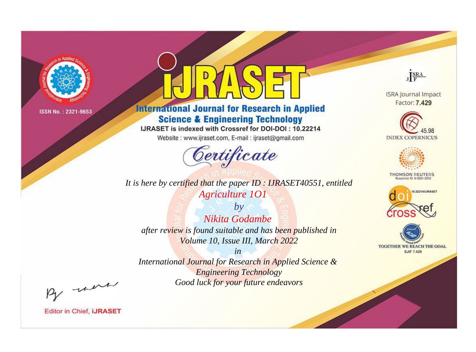

# **International Journal for Research in Applied Science & Engineering Technology**

IJRASET is indexed with Crossref for DOI-DOI: 10.22214

Website: www.ijraset.com, E-mail: ijraset@gmail.com



JERA

**ISRA Journal Impact** Factor: 7.429





**THOMSON REUTERS** 



TOGETHER WE REACH THE GOAL **SJIF 7.429** 

*It is here by certified that the paper ID : IJRASET40551, entitled Agriculture 1O1*

*by Nikita Godambe after review is found suitable and has been published in Volume 10, Issue III, March 2022*

*in* 

*International Journal for Research in Applied Science & Engineering Technology Good luck for your future endeavors*

By morn